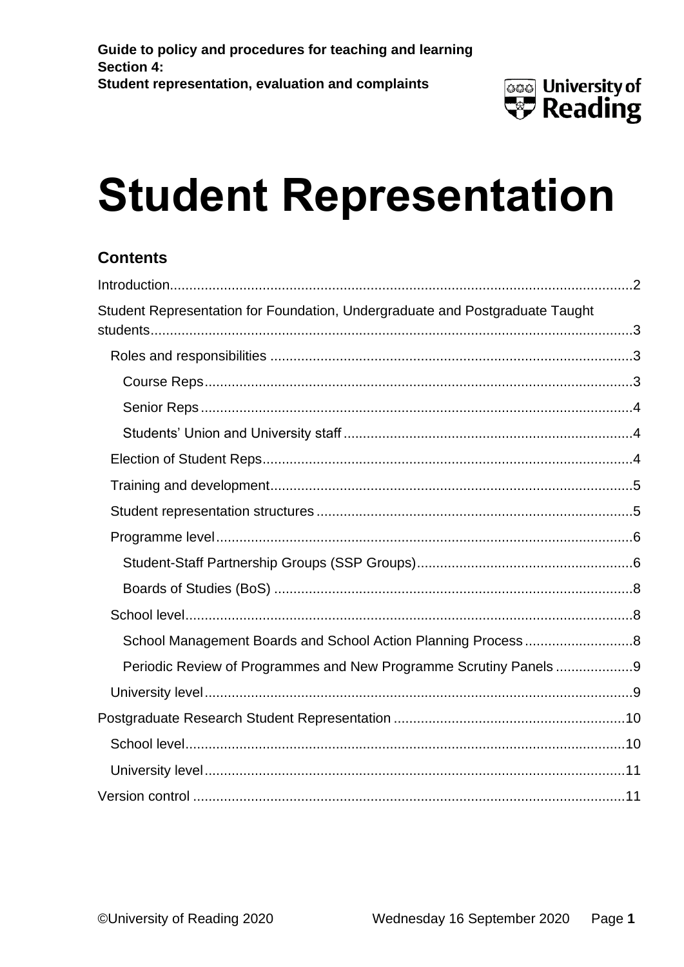

# **Student Representation**

#### **Contents**

| Student Representation for Foundation, Undergraduate and Postgraduate Taught |  |
|------------------------------------------------------------------------------|--|
|                                                                              |  |
|                                                                              |  |
|                                                                              |  |
|                                                                              |  |
|                                                                              |  |
|                                                                              |  |
|                                                                              |  |
|                                                                              |  |
|                                                                              |  |
|                                                                              |  |
|                                                                              |  |
|                                                                              |  |
| Periodic Review of Programmes and New Programme Scrutiny Panels9             |  |
|                                                                              |  |
|                                                                              |  |
|                                                                              |  |
|                                                                              |  |
|                                                                              |  |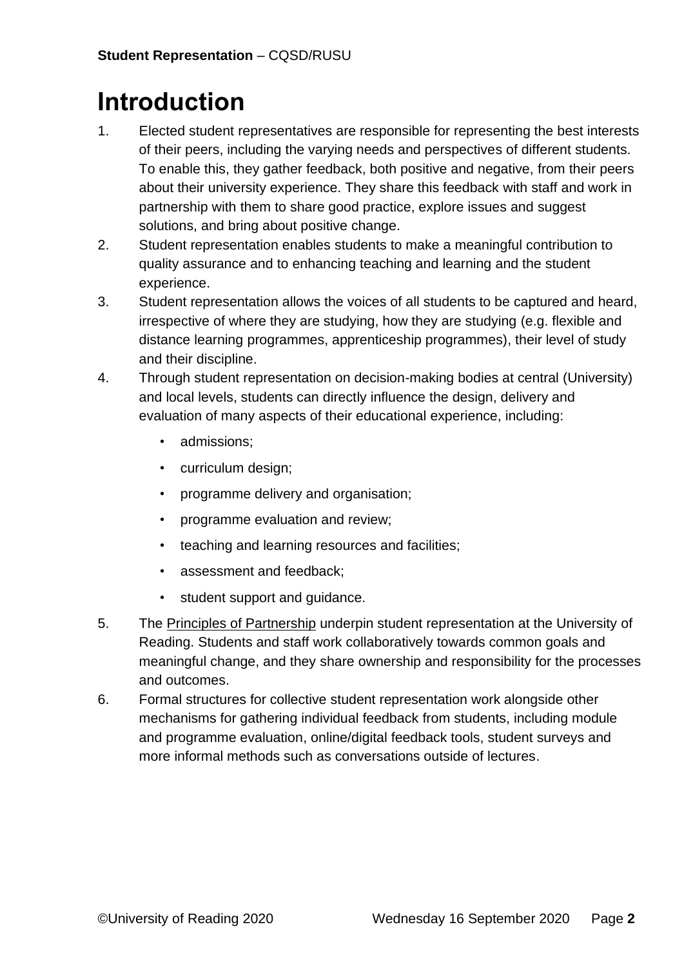# <span id="page-1-0"></span>**Introduction**

- 1. Elected student representatives are responsible for representing the best interests of their peers, including the varying needs and perspectives of different students. To enable this, they gather feedback, both positive and negative, from their peers about their university experience. They share this feedback with staff and work in partnership with them to share good practice, explore issues and suggest solutions, and bring about positive change.
- 2. Student representation enables students to make a meaningful contribution to quality assurance and to enhancing teaching and learning and the student experience.
- 3. Student representation allows the voices of all students to be captured and heard, irrespective of where they are studying, how they are studying (e.g. flexible and distance learning programmes, apprenticeship programmes), their level of study and their discipline.
- 4. Through student representation on decision-making bodies at central (University) and local levels, students can directly influence the design, delivery and evaluation of many aspects of their educational experience, including:
	- admissions;
	- curriculum design;
	- programme delivery and organisation;
	- programme evaluation and review;
	- teaching and learning resources and facilities;
	- assessment and feedback;
	- student support and guidance.
- 5. The [Principles of Partnership](https://sites.reading.ac.uk/curriculum-framework/student-staff-partnerships/) underpin student representation at the University of Reading. Students and staff work collaboratively towards common goals and meaningful change, and they share ownership and responsibility for the processes and outcomes.
- 6. Formal structures for collective student representation work alongside other mechanisms for gathering individual feedback from students, including module and programme evaluation, online/digital feedback tools, student surveys and more informal methods such as conversations outside of lectures.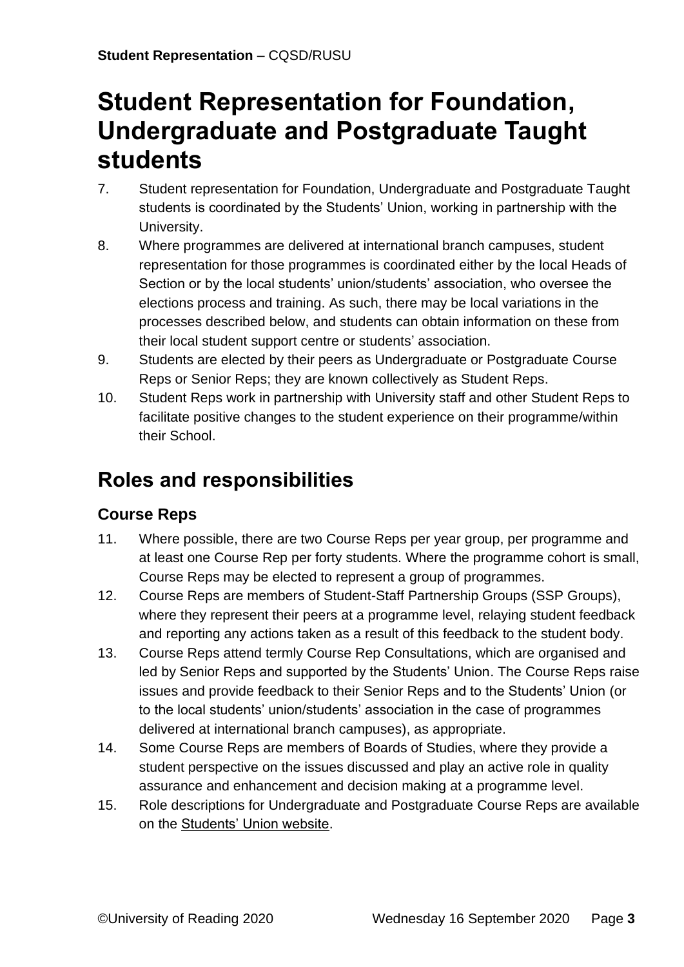# <span id="page-2-0"></span>**Student Representation for Foundation, Undergraduate and Postgraduate Taught students**

- 7. Student representation for Foundation, Undergraduate and Postgraduate Taught students is coordinated by the Students' Union, working in partnership with the University.
- 8. Where programmes are delivered at international branch campuses, student representation for those programmes is coordinated either by the local Heads of Section or by the local students' union/students' association, who oversee the elections process and training. As such, there may be local variations in the processes described below, and students can obtain information on these from their local student support centre or students' association.
- 9. Students are elected by their peers as Undergraduate or Postgraduate Course Reps or Senior Reps; they are known collectively as Student Reps.
- 10. Student Reps work in partnership with University staff and other Student Reps to facilitate positive changes to the student experience on their programme/within their School.

## <span id="page-2-1"></span>**Roles and responsibilities**

#### <span id="page-2-2"></span>**Course Reps**

- 11. Where possible, there are two Course Reps per year group, per programme and at least one Course Rep per forty students. Where the programme cohort is small, Course Reps may be elected to represent a group of programmes.
- 12. Course Reps are members of Student-Staff Partnership Groups (SSP Groups), where they represent their peers at a programme level, relaying student feedback and reporting any actions taken as a result of this feedback to the student body.
- 13. Course Reps attend termly Course Rep Consultations, which are organised and led by Senior Reps and supported by the Students' Union. The Course Reps raise issues and provide feedback to their Senior Reps and to the Students' Union (or to the local students' union/students' association in the case of programmes delivered at international branch campuses), as appropriate.
- 14. Some Course Reps are members of Boards of Studies, where they provide a student perspective on the issues discussed and play an active role in quality assurance and enhancement and decision making at a programme level.
- 15. Role descriptions for Undergraduate and Postgraduate Course Reps are available on the [Students' Union website.](https://www.rusu.co.uk/representation/student-reps/academic-reps/rep-hub/rep-resources/)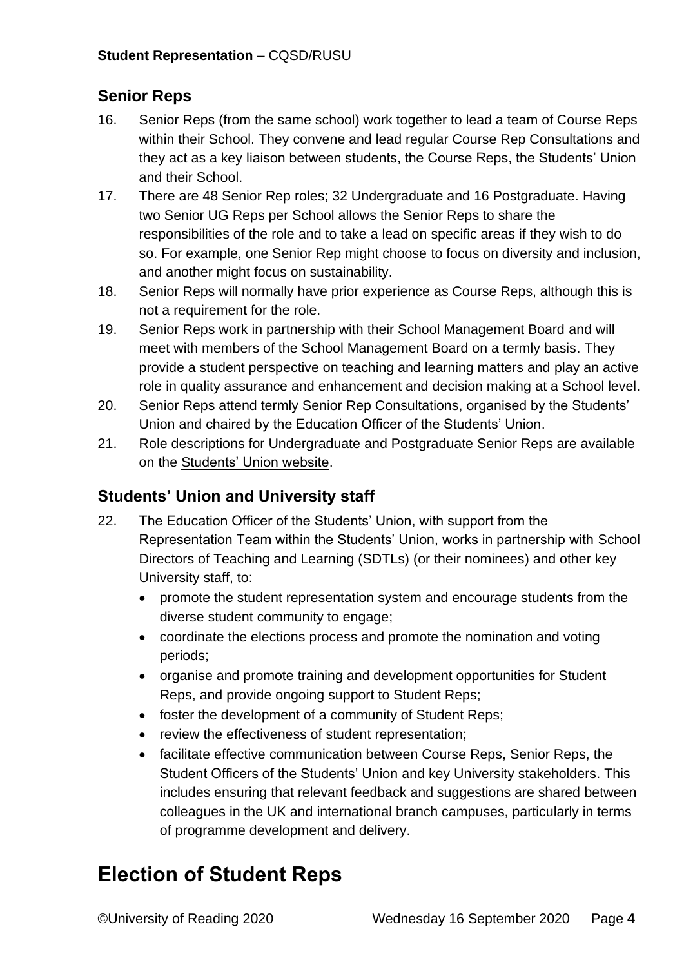#### <span id="page-3-0"></span>**Senior Reps**

- 16. Senior Reps (from the same school) work together to lead a team of Course Reps within their School. They convene and lead regular Course Rep Consultations and they act as a key liaison between students, the Course Reps, the Students' Union and their School.
- 17. There are 48 Senior Rep roles; 32 Undergraduate and 16 Postgraduate. Having two Senior UG Reps per School allows the Senior Reps to share the responsibilities of the role and to take a lead on specific areas if they wish to do so. For example, one Senior Rep might choose to focus on diversity and inclusion, and another might focus on sustainability.
- 18. Senior Reps will normally have prior experience as Course Reps, although this is not a requirement for the role.
- 19. Senior Reps work in partnership with their School Management Board and will meet with members of the School Management Board on a termly basis. They provide a student perspective on teaching and learning matters and play an active role in quality assurance and enhancement and decision making at a School level.
- 20. Senior Reps attend termly Senior Rep Consultations, organised by the Students' Union and chaired by the Education Officer of the Students' Union.
- 21. Role descriptions for Undergraduate and Postgraduate Senior Reps are available on the [Students' Union website.](https://www.rusu.co.uk/representation/student-reps/academic-reps/rep-hub/rep-resources/)

#### <span id="page-3-1"></span>**Students' Union and University staff**

- 22. The Education Officer of the Students' Union, with support from the Representation Team within the Students' Union, works in partnership with School Directors of Teaching and Learning (SDTLs) (or their nominees) and other key University staff, to:
	- promote the student representation system and encourage students from the diverse student community to engage;
	- coordinate the elections process and promote the nomination and voting periods;
	- organise and promote training and development opportunities for Student Reps, and provide ongoing support to Student Reps;
	- foster the development of a community of Student Reps;
	- review the effectiveness of student representation;
	- facilitate effective communication between Course Reps, Senior Reps, the Student Officers of the Students' Union and key University stakeholders. This includes ensuring that relevant feedback and suggestions are shared between colleagues in the UK and international branch campuses, particularly in terms of programme development and delivery.

## <span id="page-3-2"></span>**Election of Student Reps**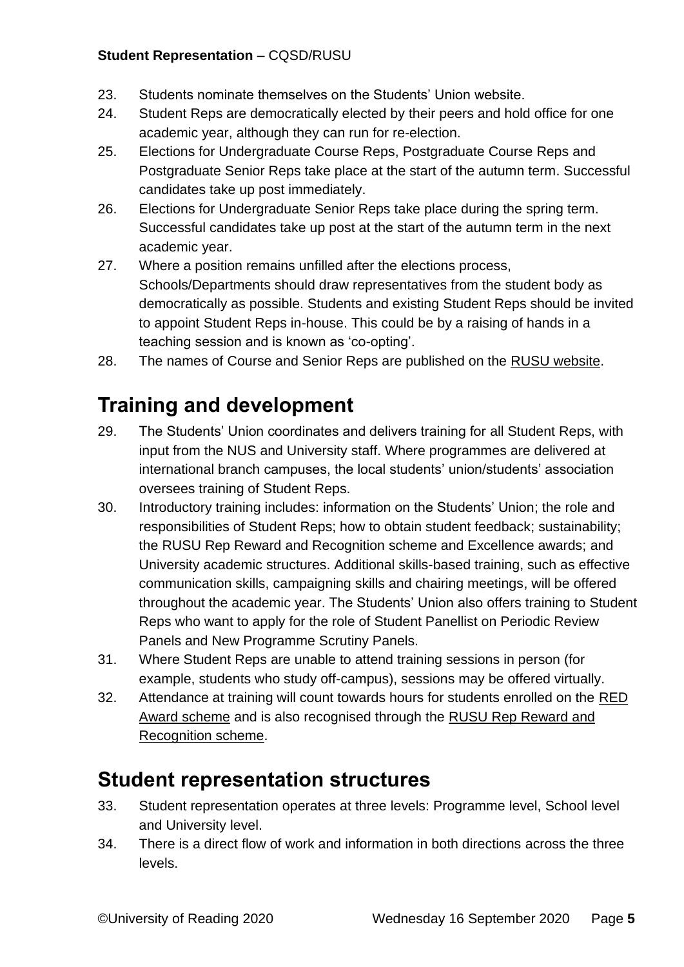#### **Student Representation** – CQSD/RUSU

- 23. Students nominate themselves on the Students' Union website.
- 24. Student Reps are democratically elected by their peers and hold office for one academic year, although they can run for re-election.
- 25. Elections for Undergraduate Course Reps, Postgraduate Course Reps and Postgraduate Senior Reps take place at the start of the autumn term. Successful candidates take up post immediately.
- 26. Elections for Undergraduate Senior Reps take place during the spring term. Successful candidates take up post at the start of the autumn term in the next academic year.
- 27. Where a position remains unfilled after the elections process, Schools/Departments should draw representatives from the student body as democratically as possible. Students and existing Student Reps should be invited to appoint Student Reps in-house. This could be by a raising of hands in a teaching session and is known as 'co-opting'.
- <span id="page-4-0"></span>28. The names of Course and Senior Reps are published on the [RUSU website.](https://www.rusu.co.uk/representation/student-reps/academic-reps/find-my-rep/)

## **Training and development**

- 29. The Students' Union coordinates and delivers training for all Student Reps, with input from the NUS and University staff. Where programmes are delivered at international branch campuses, the local students' union/students' association oversees training of Student Reps.
- 30. Introductory training includes: information on the Students' Union; the role and responsibilities of Student Reps; how to obtain student feedback; sustainability; the RUSU Rep Reward and Recognition scheme and Excellence awards; and University academic structures. Additional skills-based training, such as effective communication skills, campaigning skills and chairing meetings, will be offered throughout the academic year. The Students' Union also offers training to Student Reps who want to apply for the role of Student Panellist on Periodic Review Panels and New Programme Scrutiny Panels.
- 31. Where Student Reps are unable to attend training sessions in person (for example, students who study off-campus), sessions may be offered virtually.
- 32. Attendance at training will count towards hours for students enrolled on the [RED](https://www.reading.ac.uk/essentials/Careers/Gaining-experience/RED)  [Award scheme](https://www.reading.ac.uk/essentials/Careers/Gaining-experience/RED) and is also recognised through the [RUSU Rep Reward and](https://www.rusu.co.uk/representation/student-reps/academic-reps/rep-hub/rewards-and-recognition/)  [Recognition scheme.](https://www.rusu.co.uk/representation/student-reps/academic-reps/rep-hub/rewards-and-recognition/)

### <span id="page-4-1"></span>**Student representation structures**

- 33. Student representation operates at three levels: Programme level, School level and University level.
- 34. There is a direct flow of work and information in both directions across the three levels.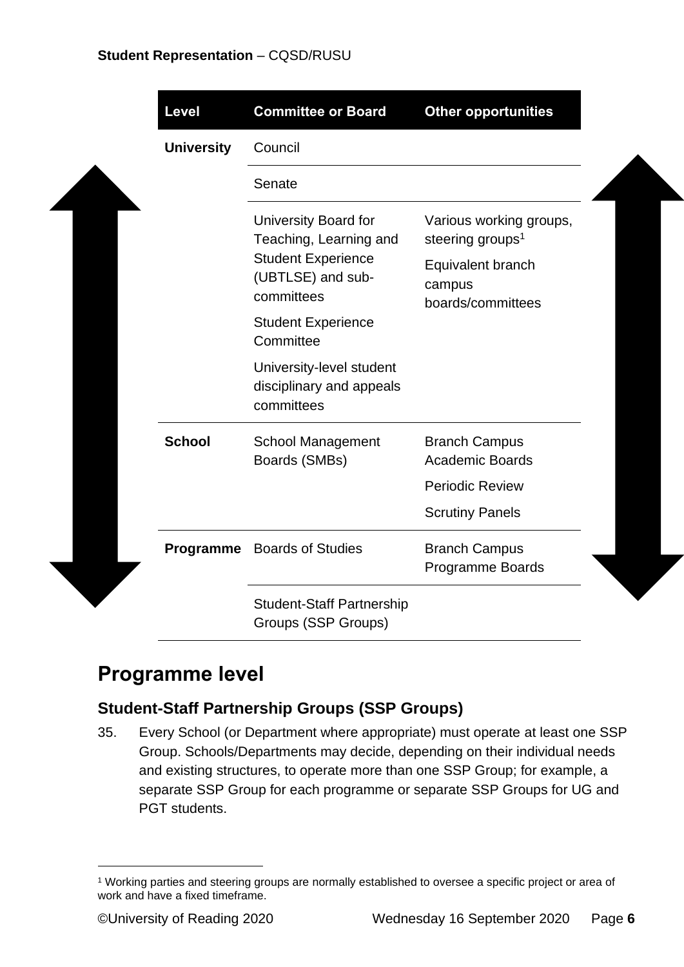$\overline{\phantom{a}}$ 

| <b>Level</b>      | <b>Committee or Board</b>                                                              | <b>Other opportunities</b>                       |
|-------------------|----------------------------------------------------------------------------------------|--------------------------------------------------|
| <b>University</b> | Council                                                                                |                                                  |
|                   | Senate                                                                                 |                                                  |
|                   | University Board for                                                                   | Various working groups,                          |
|                   | Teaching, Learning and<br><b>Student Experience</b><br>(UBTLSE) and sub-<br>committees | steering groups <sup>1</sup>                     |
|                   |                                                                                        | Equivalent branch<br>campus<br>boards/committees |
|                   | <b>Student Experience</b><br>Committee                                                 |                                                  |
|                   | University-level student<br>disciplinary and appeals<br>committees                     |                                                  |
| <b>School</b>     | <b>School Management</b><br>Boards (SMBs)                                              | <b>Branch Campus</b><br><b>Academic Boards</b>   |
|                   |                                                                                        | <b>Periodic Review</b>                           |
|                   |                                                                                        | <b>Scrutiny Panels</b>                           |
| Programme         | <b>Boards of Studies</b>                                                               | <b>Branch Campus</b>                             |
|                   |                                                                                        | <b>Programme Boards</b>                          |
|                   | <b>Student-Staff Partnership</b>                                                       |                                                  |
|                   | Groups (SSP Groups)                                                                    |                                                  |

## <span id="page-5-0"></span>**Programme level**

#### <span id="page-5-1"></span>**Student-Staff Partnership Groups (SSP Groups)**

35. Every School (or Department where appropriate) must operate at least one SSP Group. Schools/Departments may decide, depending on their individual needs and existing structures, to operate more than one SSP Group; for example, a separate SSP Group for each programme or separate SSP Groups for UG and PGT students.

<sup>1</sup> Working parties and steering groups are normally established to oversee a specific project or area of work and have a fixed timeframe.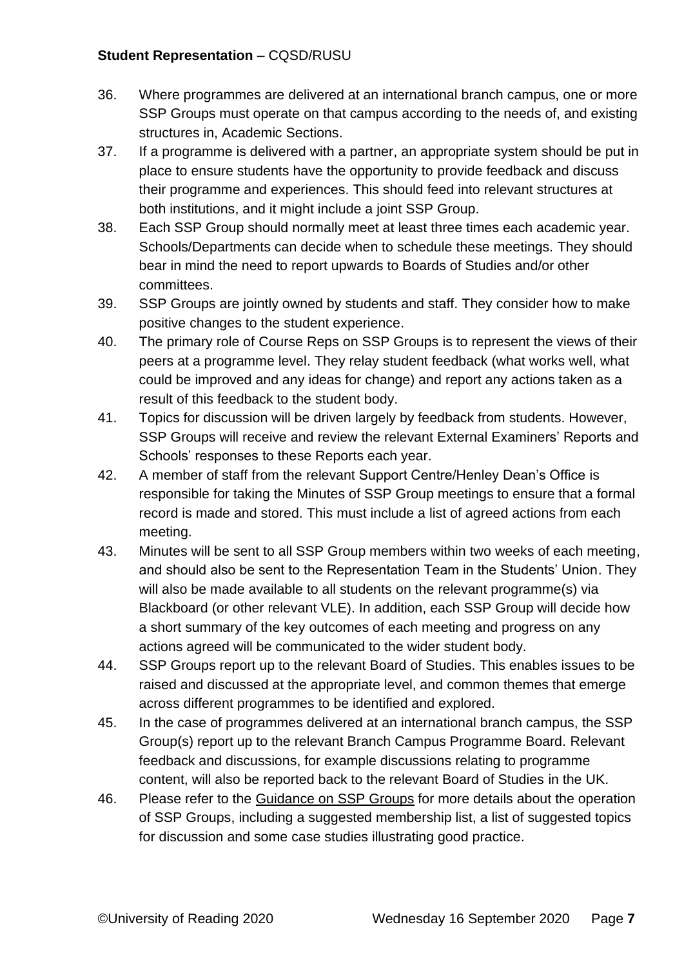#### **Student Representation** – CQSD/RUSU

- 36. Where programmes are delivered at an international branch campus, one or more SSP Groups must operate on that campus according to the needs of, and existing structures in, Academic Sections.
- 37. If a programme is delivered with a partner, an appropriate system should be put in place to ensure students have the opportunity to provide feedback and discuss their programme and experiences. This should feed into relevant structures at both institutions, and it might include a joint SSP Group.
- 38. Each SSP Group should normally meet at least three times each academic year. Schools/Departments can decide when to schedule these meetings. They should bear in mind the need to report upwards to Boards of Studies and/or other committees.
- 39. SSP Groups are jointly owned by students and staff. They consider how to make positive changes to the student experience.
- 40. The primary role of Course Reps on SSP Groups is to represent the views of their peers at a programme level. They relay student feedback (what works well, what could be improved and any ideas for change) and report any actions taken as a result of this feedback to the student body.
- 41. Topics for discussion will be driven largely by feedback from students. However, SSP Groups will receive and review the relevant External Examiners' Reports and Schools' responses to these Reports each year.
- 42. A member of staff from the relevant Support Centre/Henley Dean's Office is responsible for taking the Minutes of SSP Group meetings to ensure that a formal record is made and stored. This must include a list of agreed actions from each meeting.
- 43. Minutes will be sent to all SSP Group members within two weeks of each meeting, and should also be sent to the Representation Team in the Students' Union. They will also be made available to all students on the relevant programme(s) via Blackboard (or other relevant VLE). In addition, each SSP Group will decide how a short summary of the key outcomes of each meeting and progress on any actions agreed will be communicated to the wider student body.
- 44. SSP Groups report up to the relevant Board of Studies. This enables issues to be raised and discussed at the appropriate level, and common themes that emerge across different programmes to be identified and explored.
- 45. In the case of programmes delivered at an international branch campus, the SSP Group(s) report up to the relevant Branch Campus Programme Board. Relevant feedback and discussions, for example discussions relating to programme content, will also be reported back to the relevant Board of Studies in the UK.
- 46. Please refer to the [Guidance on SSP Groups](http://www.reading.ac.uk/web/files/qualitysupport/sspgroupguidance.pdf) for more details about the operation of SSP Groups, including a suggested membership list, a list of suggested topics for discussion and some case studies illustrating good practice.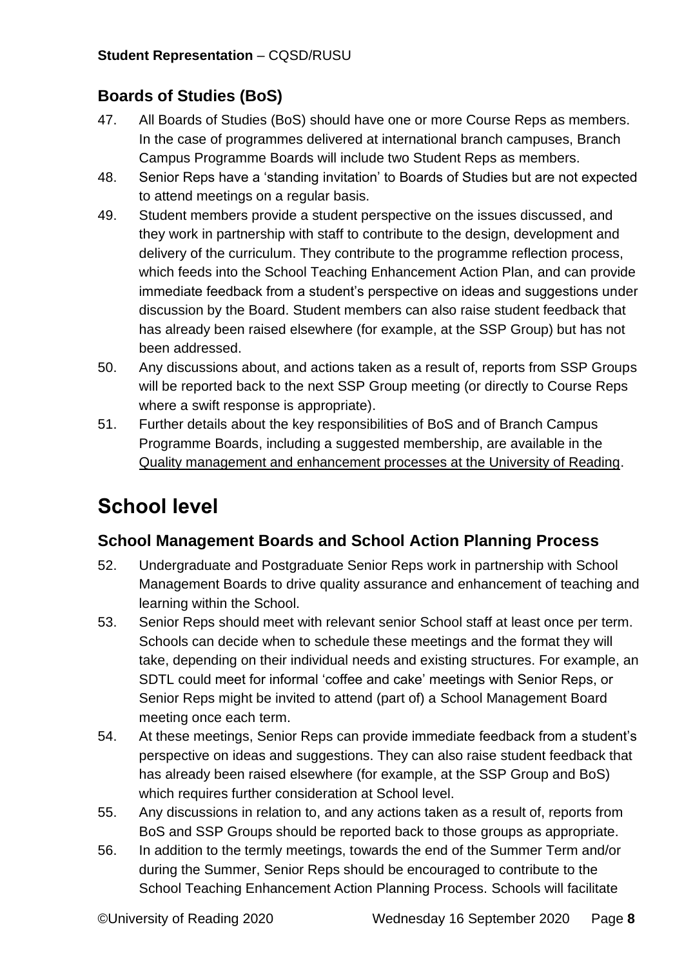#### <span id="page-7-0"></span>**Boards of Studies (BoS)**

- 47. All Boards of Studies (BoS) should have one or more Course Reps as members. In the case of programmes delivered at international branch campuses, Branch Campus Programme Boards will include two Student Reps as members.
- 48. Senior Reps have a 'standing invitation' to Boards of Studies but are not expected to attend meetings on a regular basis.
- 49. Student members provide a student perspective on the issues discussed, and they work in partnership with staff to contribute to the design, development and delivery of the curriculum. They contribute to the programme reflection process, which feeds into the School Teaching Enhancement Action Plan, and can provide immediate feedback from a student's perspective on ideas and suggestions under discussion by the Board. Student members can also raise student feedback that has already been raised elsewhere (for example, at the SSP Group) but has not been addressed.
- 50. Any discussions about, and actions taken as a result of, reports from SSP Groups will be reported back to the next SSP Group meeting (or directly to Course Reps where a swift response is appropriate).
- 51. Further details about the key responsibilities of BoS and of Branch Campus Programme Boards, including a suggested membership, are available in the [Quality management and enhancement processes at the University of Reading.](http://www.reading.ac.uk/web/files/qualitysupport/qualityoverview.pdf)

## <span id="page-7-1"></span>**School level**

#### <span id="page-7-2"></span>**School Management Boards and School Action Planning Process**

- 52. Undergraduate and Postgraduate Senior Reps work in partnership with School Management Boards to drive quality assurance and enhancement of teaching and learning within the School.
- 53. Senior Reps should meet with relevant senior School staff at least once per term. Schools can decide when to schedule these meetings and the format they will take, depending on their individual needs and existing structures. For example, an SDTL could meet for informal 'coffee and cake' meetings with Senior Reps, or Senior Reps might be invited to attend (part of) a School Management Board meeting once each term.
- 54. At these meetings, Senior Reps can provide immediate feedback from a student's perspective on ideas and suggestions. They can also raise student feedback that has already been raised elsewhere (for example, at the SSP Group and BoS) which requires further consideration at School level.
- 55. Any discussions in relation to, and any actions taken as a result of, reports from BoS and SSP Groups should be reported back to those groups as appropriate.
- 56. In addition to the termly meetings, towards the end of the Summer Term and/or during the Summer, Senior Reps should be encouraged to contribute to the School Teaching Enhancement Action Planning Process. Schools will facilitate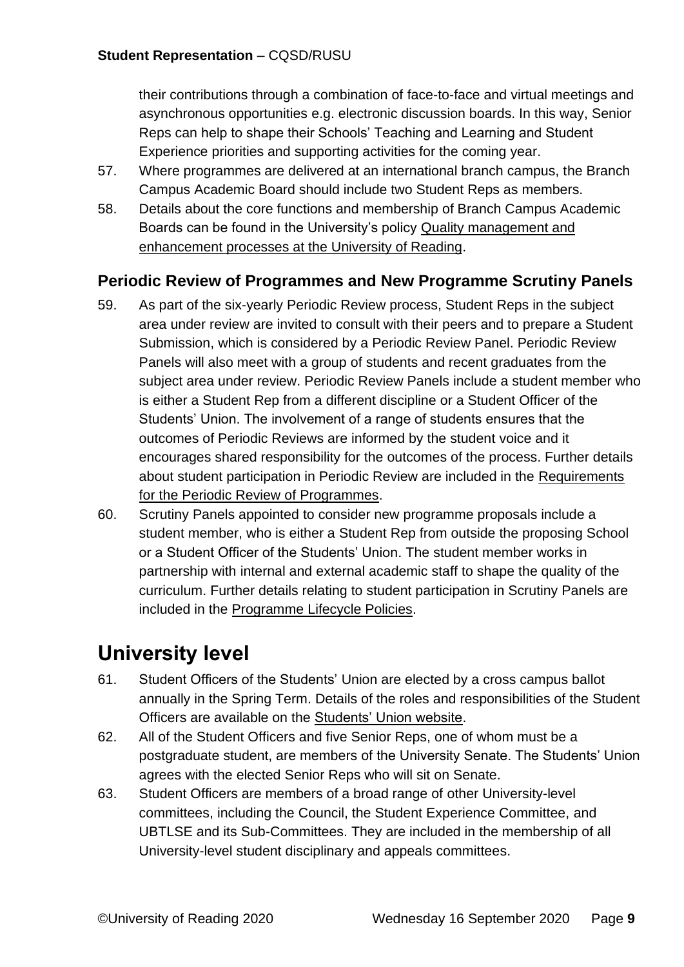their contributions through a combination of face-to-face and virtual meetings and asynchronous opportunities e.g. electronic discussion boards. In this way, Senior Reps can help to shape their Schools' Teaching and Learning and Student Experience priorities and supporting activities for the coming year.

- 57. Where programmes are delivered at an international branch campus, the Branch Campus Academic Board should include two Student Reps as members.
- 58. Details about the core functions and membership of Branch Campus Academic Boards can be found in the University's policy [Quality management and](http://www.reading.ac.uk/web/files/qualitysupport/qualityoverview.pdf)  [enhancement processes at the University of Reading.](http://www.reading.ac.uk/web/files/qualitysupport/qualityoverview.pdf)

#### <span id="page-8-0"></span>**Periodic Review of Programmes and New Programme Scrutiny Panels**

- 59. As part of the six-yearly Periodic Review process, Student Reps in the subject area under review are invited to consult with their peers and to prepare a Student Submission, which is considered by a Periodic Review Panel. Periodic Review Panels will also meet with a group of students and recent graduates from the subject area under review. Periodic Review Panels include a student member who is either a Student Rep from a different discipline or a Student Officer of the Students' Union. The involvement of a range of students ensures that the outcomes of Periodic Reviews are informed by the student voice and it encourages shared responsibility for the outcomes of the process. Further details about student participation in Periodic Review are included in the [Requirements](http://www.reading.ac.uk/web/files/qualitysupport/periodicreviewprog.pdf)  [for the Periodic Review of Programmes.](http://www.reading.ac.uk/web/files/qualitysupport/periodicreviewprog.pdf)
- 60. Scrutiny Panels appointed to consider new programme proposals include a student member, who is either a Student Rep from outside the proposing School or a Student Officer of the Students' Union. The student member works in partnership with internal and external academic staff to shape the quality of the curriculum. Further details relating to student participation in Scrutiny Panels are included in the [Programme Lifecycle Policies.](http://www.reading.ac.uk/web/files/qualitysupport/Programme-Lifecycle-Policies.pdf)

## <span id="page-8-1"></span>**University level**

- 61. Student Officers of the Students' Union are elected by a cross campus ballot annually in the Spring Term. Details of the roles and responsibilities of the Student Officers are available on the [Students' Union website.](http://www.rusu.co.uk/elections)
- 62. All of the Student Officers and five Senior Reps, one of whom must be a postgraduate student, are members of the University Senate. The Students' Union agrees with the elected Senior Reps who will sit on Senate.
- 63. Student Officers are members of a broad range of other University-level committees, including the Council, the Student Experience Committee, and UBTLSE and its Sub-Committees. They are included in the membership of all University-level student disciplinary and appeals committees.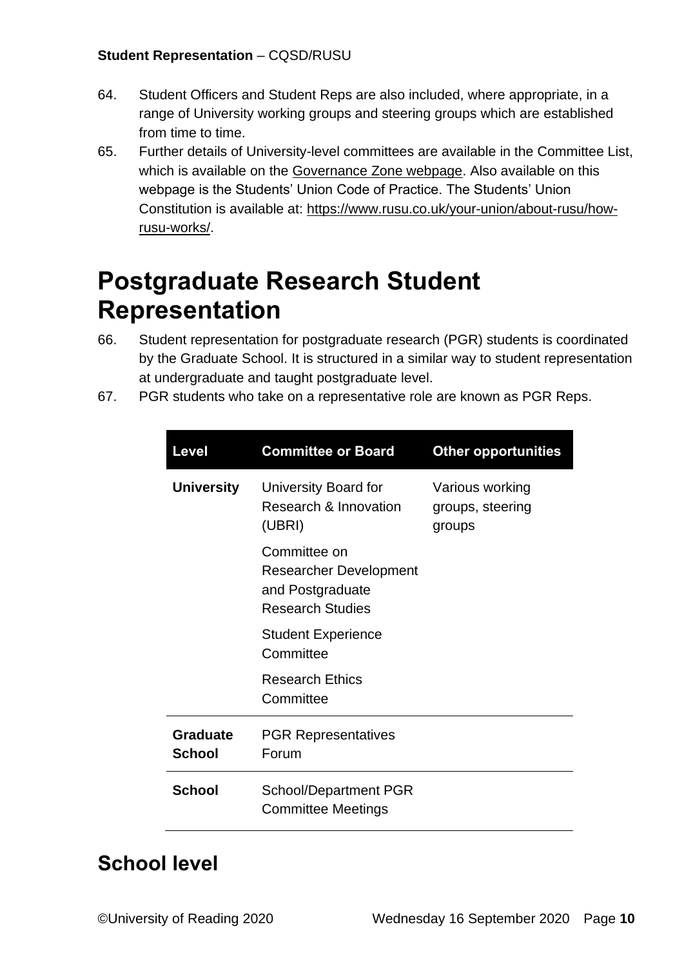- 64. Student Officers and Student Reps are also included, where appropriate, in a range of University working groups and steering groups which are established from time to time.
- 65. Further details of University-level committees are available in the Committee List, which is available on the [Governance Zone webpage.](https://www.reading.ac.uk/about/governance/governance-zone.aspx) Also available on this webpage is the Students' Union Code of Practice. The Students' Union Constitution is available at: [https://www.rusu.co.uk/your-union/about-rusu/how](https://www.rusu.co.uk/your-union/about-rusu/how-rusu-works/)[rusu-works/.](https://www.rusu.co.uk/your-union/about-rusu/how-rusu-works/)

# <span id="page-9-0"></span>**Postgraduate Research Student Representation**

- 66. Student representation for postgraduate research (PGR) students is coordinated by the Graduate School. It is structured in a similar way to student representation at undergraduate and taught postgraduate level.
- 67. PGR students who take on a representative role are known as PGR Reps.

| <b>Level</b>                     | <b>Committee or Board</b>                                                             | <b>Other opportunities</b>                    |
|----------------------------------|---------------------------------------------------------------------------------------|-----------------------------------------------|
| <b>University</b>                | University Board for<br>Research & Innovation<br>(UBRI)                               | Various working<br>groups, steering<br>groups |
|                                  | Committee on<br>Researcher Development<br>and Postgraduate<br><b>Research Studies</b> |                                               |
|                                  | <b>Student Experience</b><br>Committee                                                |                                               |
|                                  | <b>Research Ethics</b><br>Committee                                                   |                                               |
| <b>Graduate</b><br><b>School</b> | <b>PGR Representatives</b><br>Forum                                                   |                                               |
| <b>School</b>                    | <b>School/Department PGR</b><br><b>Committee Meetings</b>                             |                                               |

## <span id="page-9-1"></span>**School level**